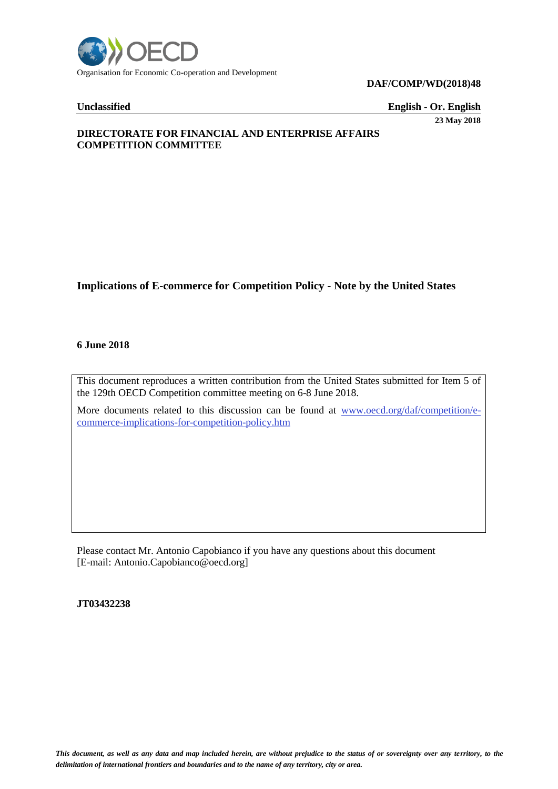

**DAF/COMP/WD(2018)48** 

**Unclassified English - Or. English** 

**23 May 2018**

# **DIRECTORATE FOR FINANCIAL AND ENTERPRISE AFFAIRS COMPETITION COMMITTEE**

# **Implications of E-commerce for Competition Policy - Note by the United States**

#### **6 June 2018**

This document reproduces a written contribution from the United States submitted for Item 5 of the 129th OECD Competition committee meeting on 6-8 June 2018.

More documents related to this discussion can be found at [www.oecd.org/daf/competition/e](http://www.oecd.org/daf/competition/e-commerce-implications-for-competition-policy.htm)[commerce-implications-for-competition-policy.htm](http://www.oecd.org/daf/competition/e-commerce-implications-for-competition-policy.htm) 

Please contact Mr. Antonio Capobianco if you have any questions about this document [E-mail: Antonio.Capobianco@oecd.org]

**JT03432238**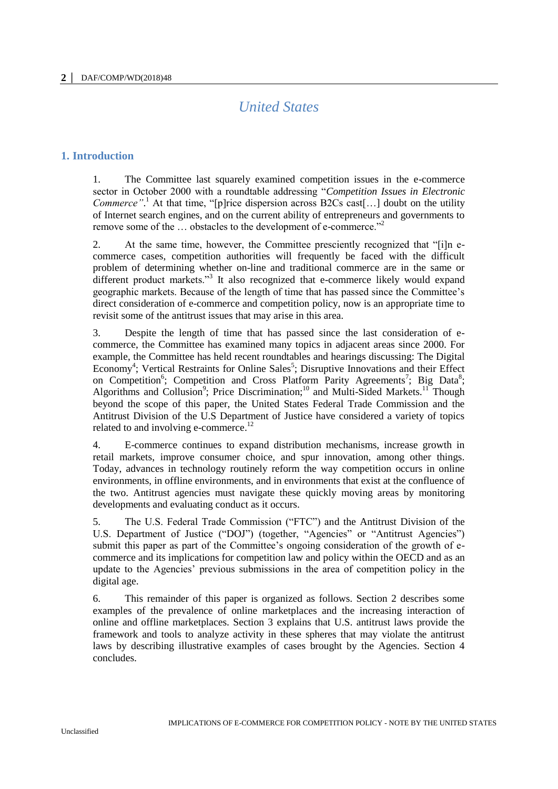# *United States*

# **1. Introduction**

1. The Committee last squarely examined competition issues in the e-commerce sector in October 2000 with a roundtable addressing "*Competition Issues in Electronic Commerce*"<sup>1</sup>. At that time, "[p]rice dispersion across B2Cs cast[...] doubt on the utility of Internet search engines, and on the current ability of entrepreneurs and governments to remove some of the ... obstacles to the development of e-commerce."<sup>2</sup>

2. At the same time, however, the Committee presciently recognized that "[i]n ecommerce cases, competition authorities will frequently be faced with the difficult problem of determining whether on-line and traditional commerce are in the same or different product markets."<sup>3</sup> It also recognized that e-commerce likely would expand geographic markets. Because of the length of time that has passed since the Committee's direct consideration of e-commerce and competition policy, now is an appropriate time to revisit some of the antitrust issues that may arise in this area.

3. Despite the length of time that has passed since the last consideration of ecommerce, the Committee has examined many topics in adjacent areas since 2000. For example, the Committee has held recent roundtables and hearings discussing: The Digital Economy<sup>4</sup>; Vertical Restraints for Online Sales<sup>5</sup>; Disruptive Innovations and their Effect on Competition<sup>6</sup>; Competition and Cross Platform Parity Agreements<sup>7</sup>; Big Data<sup>8</sup>; Algorithms and Collusion<sup>9</sup>; Price Discrimination;<sup>10</sup> and Multi-Sided Markets.<sup>11</sup> Though beyond the scope of this paper, the United States Federal Trade Commission and the Antitrust Division of the U.S Department of Justice have considered a variety of topics related to and involving e-commerce.<sup>12</sup>

4. E-commerce continues to expand distribution mechanisms, increase growth in retail markets, improve consumer choice, and spur innovation, among other things. Today, advances in technology routinely reform the way competition occurs in online environments, in offline environments, and in environments that exist at the confluence of the two. Antitrust agencies must navigate these quickly moving areas by monitoring developments and evaluating conduct as it occurs.

5. The U.S. Federal Trade Commission ("FTC") and the Antitrust Division of the U.S. Department of Justice ("DOJ") (together, "Agencies" or "Antitrust Agencies") submit this paper as part of the Committee's ongoing consideration of the growth of ecommerce and its implications for competition law and policy within the OECD and as an update to the Agencies' previous submissions in the area of competition policy in the digital age.

6. This remainder of this paper is organized as follows. Section 2 describes some examples of the prevalence of online marketplaces and the increasing interaction of online and offline marketplaces. Section 3 explains that U.S. antitrust laws provide the framework and tools to analyze activity in these spheres that may violate the antitrust laws by describing illustrative examples of cases brought by the Agencies. Section 4 concludes.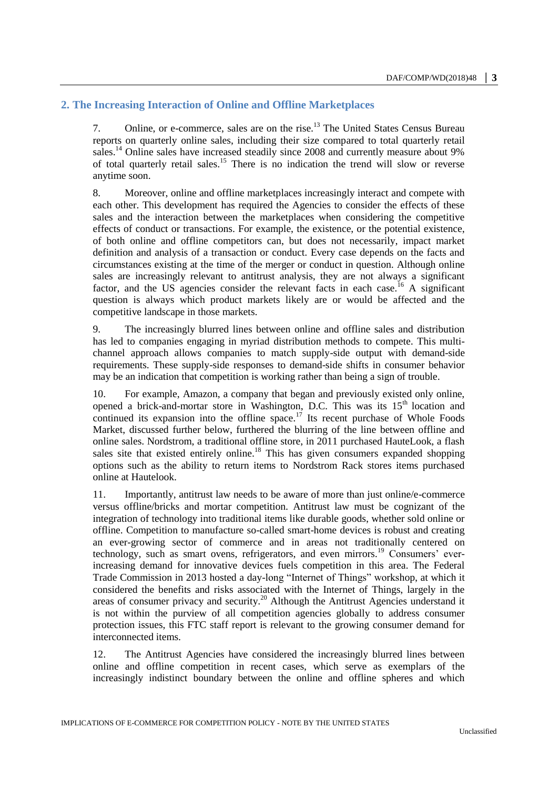# **2. The Increasing Interaction of Online and Offline Marketplaces**

7. Online, or e-commerce, sales are on the rise.<sup>13</sup> The United States Census Bureau reports on quarterly online sales, including their size compared to total quarterly retail sales.<sup>14</sup> Online sales have increased steadily since 2008 and currently measure about 9% of total quarterly retail sales.<sup>15</sup> There is no indication the trend will slow or reverse anytime soon.

8. Moreover, online and offline marketplaces increasingly interact and compete with each other. This development has required the Agencies to consider the effects of these sales and the interaction between the marketplaces when considering the competitive effects of conduct or transactions. For example, the existence, or the potential existence, of both online and offline competitors can, but does not necessarily, impact market definition and analysis of a transaction or conduct. Every case depends on the facts and circumstances existing at the time of the merger or conduct in question. Although online sales are increasingly relevant to antitrust analysis, they are not always a significant factor, and the US agencies consider the relevant facts in each case.<sup>16</sup> A significant question is always which product markets likely are or would be affected and the competitive landscape in those markets.

9. The increasingly blurred lines between online and offline sales and distribution has led to companies engaging in myriad distribution methods to compete. This multichannel approach allows companies to match supply-side output with demand-side requirements. These supply-side responses to demand-side shifts in consumer behavior may be an indication that competition is working rather than being a sign of trouble.

10. For example, Amazon, a company that began and previously existed only online, opened a brick-and-mortar store in Washington, D.C. This was its 15<sup>th</sup> location and continued its expansion into the offline space.<sup>17</sup> Its recent purchase of Whole Foods Market, discussed further below, furthered the blurring of the line between offline and online sales. Nordstrom, a traditional offline store, in 2011 purchased HauteLook, a flash sales site that existed entirely online.<sup>18</sup> This has given consumers expanded shopping options such as the ability to return items to Nordstrom Rack stores items purchased online at Hautelook.

11. Importantly, antitrust law needs to be aware of more than just online/e-commerce versus offline/bricks and mortar competition. Antitrust law must be cognizant of the integration of technology into traditional items like durable goods, whether sold online or offline. Competition to manufacture so-called smart-home devices is robust and creating an ever-growing sector of commerce and in areas not traditionally centered on technology, such as smart ovens, refrigerators, and even mirrors.<sup>19</sup> Consumers' everincreasing demand for innovative devices fuels competition in this area. The Federal Trade Commission in 2013 hosted a day-long "Internet of Things" workshop, at which it considered the benefits and risks associated with the Internet of Things, largely in the areas of consumer privacy and security.<sup>20</sup> Although the Antitrust Agencies understand it is not within the purview of all competition agencies globally to address consumer protection issues, this FTC staff report is relevant to the growing consumer demand for interconnected items.

12. The Antitrust Agencies have considered the increasingly blurred lines between online and offline competition in recent cases, which serve as exemplars of the increasingly indistinct boundary between the online and offline spheres and which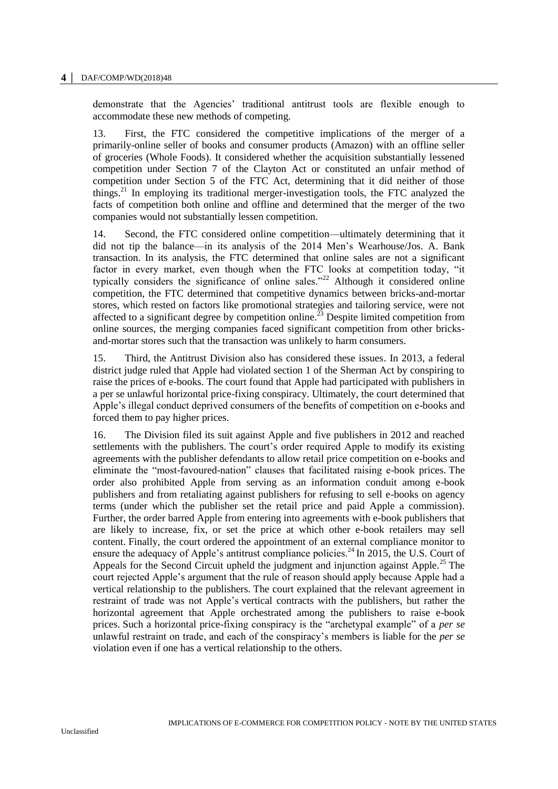#### **4 │** DAF/COMP/WD(2018)48

demonstrate that the Agencies' traditional antitrust tools are flexible enough to accommodate these new methods of competing.

13. First, the FTC considered the competitive implications of the merger of a primarily-online seller of books and consumer products (Amazon) with an offline seller of groceries (Whole Foods). It considered whether the acquisition substantially lessened competition under Section 7 of the Clayton Act or constituted an unfair method of competition under Section 5 of the FTC Act, determining that it did neither of those things.<sup>21</sup> In employing its traditional merger-investigation tools, the FTC analyzed the facts of competition both online and offline and determined that the merger of the two companies would not substantially lessen competition.

14. Second, the FTC considered online competition—ultimately determining that it did not tip the balance—in its analysis of the 2014 Men's Wearhouse/Jos. A. Bank transaction. In its analysis, the FTC determined that online sales are not a significant factor in every market, even though when the FTC looks at competition today, "it typically considers the significance of online sales."<sup>22</sup> Although it considered online competition, the FTC determined that competitive dynamics between bricks-and-mortar stores, which rested on factors like promotional strategies and tailoring service, were not affected to a significant degree by competition online.<sup>23</sup> Despite limited competition from online sources, the merging companies faced significant competition from other bricksand-mortar stores such that the transaction was unlikely to harm consumers.

15. Third, the Antitrust Division also has considered these issues. In 2013, a federal district judge ruled that Apple had violated section 1 of the Sherman Act by conspiring to raise the prices of e-books. The court found that Apple had participated with publishers in a per se unlawful horizontal price-fixing conspiracy. Ultimately, the court determined that Apple's illegal conduct deprived consumers of the benefits of competition on e-books and forced them to pay higher prices.

16. The Division filed its suit against Apple and five publishers in 2012 and reached settlements with the publishers. The court's order required Apple to modify its existing agreements with the publisher defendants to allow retail price competition on e-books and eliminate the "most-favoured-nation" clauses that facilitated raising e-book prices. The order also prohibited Apple from serving as an information conduit among e-book publishers and from retaliating against publishers for refusing to sell e-books on agency terms (under which the publisher set the retail price and paid Apple a commission). Further, the order barred Apple from entering into agreements with e-book publishers that are likely to increase, fix, or set the price at which other e-book retailers may sell content. Finally, the court ordered the appointment of an external compliance monitor to ensure the adequacy of Apple's antitrust compliance policies.<sup>24</sup> In 2015, the U.S. Court of Appeals for the Second Circuit upheld the judgment and injunction against Apple.<sup>25</sup> The court rejected Apple's argument that the rule of reason should apply because Apple had a vertical relationship to the publishers. The court explained that the relevant agreement in restraint of trade was not Apple's vertical contracts with the publishers, but rather the horizontal agreement that Apple orchestrated among the publishers to raise e-book prices. Such a horizontal price-fixing conspiracy is the "archetypal example" of a *per se* unlawful restraint on trade, and each of the conspiracy's members is liable for the *per se* violation even if one has a vertical relationship to the others.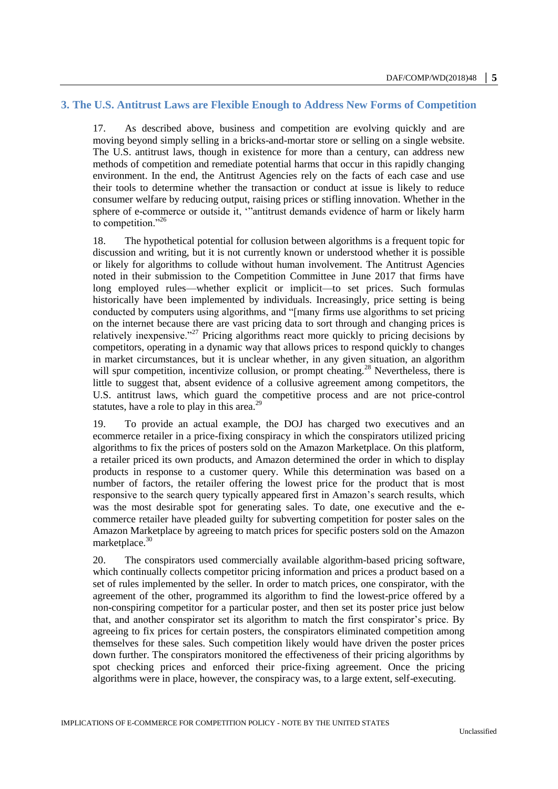## **3. The U.S. Antitrust Laws are Flexible Enough to Address New Forms of Competition**

17. As described above, business and competition are evolving quickly and are moving beyond simply selling in a bricks-and-mortar store or selling on a single website. The U.S. antitrust laws, though in existence for more than a century, can address new methods of competition and remediate potential harms that occur in this rapidly changing environment. In the end, the Antitrust Agencies rely on the facts of each case and use their tools to determine whether the transaction or conduct at issue is likely to reduce consumer welfare by reducing output, raising prices or stifling innovation. Whether in the sphere of e-commerce or outside it, '"antitrust demands evidence of harm or likely harm to competition."26

18. The hypothetical potential for collusion between algorithms is a frequent topic for discussion and writing, but it is not currently known or understood whether it is possible or likely for algorithms to collude without human involvement. The Antitrust Agencies noted in their submission to the Competition Committee in June 2017 that firms have long employed rules—whether explicit or implicit—to set prices. Such formulas historically have been implemented by individuals. Increasingly, price setting is being conducted by computers using algorithms, and "[many firms use algorithms to set pricing on the internet because there are vast pricing data to sort through and changing prices is relatively inexpensive."<sup>27</sup> Pricing algorithms react more quickly to pricing decisions by competitors, operating in a dynamic way that allows prices to respond quickly to changes in market circumstances, but it is unclear whether, in any given situation, an algorithm will spur competition, incentivize collusion, or prompt cheating.<sup>28</sup> Nevertheless, there is little to suggest that, absent evidence of a collusive agreement among competitors, the U.S. antitrust laws, which guard the competitive process and are not price-control statutes, have a role to play in this area.<sup>29</sup>

19. To provide an actual example, the DOJ has charged two executives and an ecommerce retailer in a price-fixing conspiracy in which the conspirators utilized pricing algorithms to fix the prices of posters sold on the Amazon Marketplace. On this platform, a retailer priced its own products, and Amazon determined the order in which to display products in response to a customer query. While this determination was based on a number of factors, the retailer offering the lowest price for the product that is most responsive to the search query typically appeared first in Amazon's search results, which was the most desirable spot for generating sales. To date, one executive and the ecommerce retailer have pleaded guilty for subverting competition for poster sales on the Amazon Marketplace by agreeing to match prices for specific posters sold on the Amazon marketplace.<sup>30</sup>

20. The conspirators used commercially available algorithm-based pricing software, which continually collects competitor pricing information and prices a product based on a set of rules implemented by the seller. In order to match prices, one conspirator, with the agreement of the other, programmed its algorithm to find the lowest-price offered by a non-conspiring competitor for a particular poster, and then set its poster price just below that, and another conspirator set its algorithm to match the first conspirator's price. By agreeing to fix prices for certain posters, the conspirators eliminated competition among themselves for these sales. Such competition likely would have driven the poster prices down further. The conspirators monitored the effectiveness of their pricing algorithms by spot checking prices and enforced their price-fixing agreement. Once the pricing algorithms were in place, however, the conspiracy was, to a large extent, self-executing.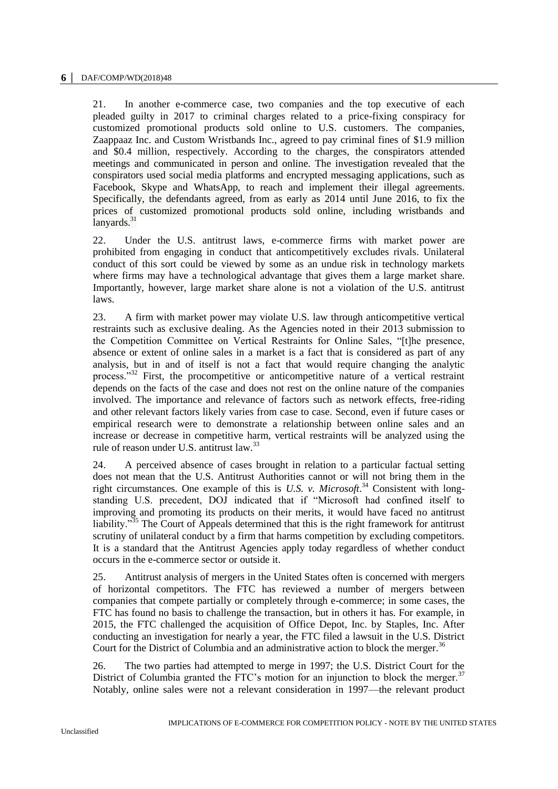21. In another e-commerce case, two companies and the top executive of each pleaded guilty in 2017 to criminal charges related to a price-fixing conspiracy for customized promotional products sold online to U.S. customers. The companies, Zaappaaz Inc. and Custom Wristbands Inc., agreed to pay criminal fines of \$1.9 million and \$0.4 million, respectively. According to the charges, the conspirators attended meetings and communicated in person and online. The investigation revealed that the conspirators used social media platforms and encrypted messaging applications, such as Facebook, Skype and WhatsApp, to reach and implement their illegal agreements. Specifically, the defendants agreed, from as early as 2014 until June 2016, to fix the prices of customized promotional products sold online, including wristbands and lanyards. $31$ 

22. Under the U.S. antitrust laws, e-commerce firms with market power are prohibited from engaging in conduct that anticompetitively excludes rivals. Unilateral conduct of this sort could be viewed by some as an undue risk in technology markets where firms may have a technological advantage that gives them a large market share. Importantly, however, large market share alone is not a violation of the U.S. antitrust laws.

23. A firm with market power may violate U.S. law through anticompetitive vertical restraints such as exclusive dealing. As the Agencies noted in their 2013 submission to the Competition Committee on Vertical Restraints for Online Sales, "[t]he presence, absence or extent of online sales in a market is a fact that is considered as part of any analysis, but in and of itself is not a fact that would require changing the analytic process."<sup>32</sup> First, the procompetitive or anticompetitive nature of a vertical restraint depends on the facts of the case and does not rest on the online nature of the companies involved. The importance and relevance of factors such as network effects, free-riding and other relevant factors likely varies from case to case. Second, even if future cases or empirical research were to demonstrate a relationship between online sales and an increase or decrease in competitive harm, vertical restraints will be analyzed using the rule of reason under U.S. antitrust law.<sup>33</sup>

24. A perceived absence of cases brought in relation to a particular factual setting does not mean that the U.S. Antitrust Authorities cannot or will not bring them in the right circumstances. One example of this is *U.S. v. Microsoft*. <sup>34</sup> Consistent with longstanding U.S. precedent, DOJ indicated that if "Microsoft had confined itself to improving and promoting its products on their merits, it would have faced no antitrust liability."<sup>35</sup> The Court of Appeals determined that this is the right framework for antitrust scrutiny of unilateral conduct by a firm that harms competition by excluding competitors. It is a standard that the Antitrust Agencies apply today regardless of whether conduct occurs in the e-commerce sector or outside it.

25. Antitrust analysis of mergers in the United States often is concerned with mergers of horizontal competitors. The FTC has reviewed a number of mergers between companies that compete partially or completely through e-commerce; in some cases, the FTC has found no basis to challenge the transaction, but in others it has. For example, in 2015, the FTC challenged the acquisition of Office Depot, Inc. by Staples, Inc. After conducting an investigation for nearly a year, the FTC filed a lawsuit in the U.S. District Court for the District of Columbia and an administrative action to block the merger.<sup>36</sup>

26. The two parties had attempted to merge in 1997; the U.S. District Court for the District of Columbia granted the FTC's motion for an injunction to block the merger. $37$ Notably, online sales were not a relevant consideration in 1997—the relevant product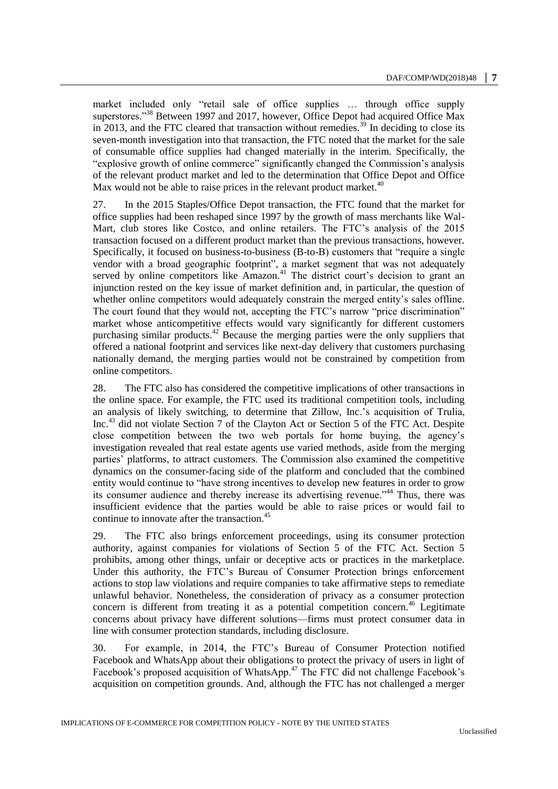market included only "retail sale of office supplies … through office supply superstores."<sup>38</sup> Between 1997 and 2017, however, Office Depot had acquired Office Max in 2013, and the FTC cleared that transaction without remedies.<sup>39</sup> In deciding to close its seven-month investigation into that transaction, the FTC noted that the market for the sale of consumable office supplies had changed materially in the interim. Specifically, the "explosive growth of online commerce" significantly changed the Commission's analysis of the relevant product market and led to the determination that Office Depot and Office Max would not be able to raise prices in the relevant product market. $40$ 

27. In the 2015 Staples/Office Depot transaction, the FTC found that the market for office supplies had been reshaped since 1997 by the growth of mass merchants like Wal-Mart, club stores like Costco, and online retailers. The FTC's analysis of the 2015 transaction focused on a different product market than the previous transactions, however. Specifically, it focused on business-to-business (B-to-B) customers that "require a single vendor with a broad geographic footprint", a market segment that was not adequately served by online competitors like  $A$ mazon.<sup>41</sup> The district court's decision to grant an injunction rested on the key issue of market definition and, in particular, the question of whether online competitors would adequately constrain the merged entity's sales offline. The court found that they would not, accepting the FTC's narrow "price discrimination" market whose anticompetitive effects would vary significantly for different customers purchasing similar products.<sup>42</sup> Because the merging parties were the only suppliers that offered a national footprint and services like next-day delivery that customers purchasing nationally demand, the merging parties would not be constrained by competition from online competitors.

28. The FTC also has considered the competitive implications of other transactions in the online space. For example, the FTC used its traditional competition tools, including an analysis of likely switching, to determine that Zillow, Inc.'s acquisition of Trulia, Inc.<sup>43</sup> did not violate Section 7 of the Clayton Act or Section 5 of the FTC Act. Despite close competition between the two web portals for home buying, the agency's investigation revealed that real estate agents use varied methods, aside from the merging parties' platforms, to attract customers. The Commission also examined the competitive dynamics on the consumer-facing side of the platform and concluded that the combined entity would continue to "have strong incentives to develop new features in order to grow its consumer audience and thereby increase its advertising revenue."<sup>44</sup> Thus, there was insufficient evidence that the parties would be able to raise prices or would fail to continue to innovate after the transaction.<sup>45</sup>

29. The FTC also brings enforcement proceedings, using its consumer protection authority, against companies for violations of Section 5 of the FTC Act. Section 5 prohibits, among other things, unfair or deceptive acts or practices in the marketplace. Under this authority, the FTC's Bureau of Consumer Protection brings enforcement actions to stop law violations and require companies to take affirmative steps to remediate unlawful behavior. Nonetheless, the consideration of privacy as a consumer protection concern is different from treating it as a potential competition concern.<sup>46</sup> Legitimate concerns about privacy have different solutions—firms must protect consumer data in line with consumer protection standards, including disclosure.

30. For example, in 2014, the FTC's Bureau of Consumer Protection notified Facebook and WhatsApp about their obligations to protect the privacy of users in light of Facebook's proposed acquisition of WhatsApp.<sup>47</sup> The FTC did not challenge Facebook's acquisition on competition grounds. And, although the FTC has not challenged a merger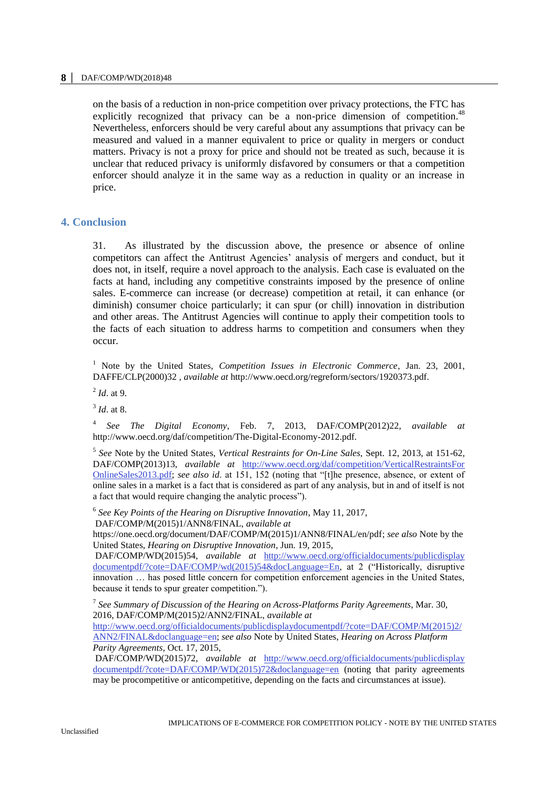#### **8 │** DAF/COMP/WD(2018)48

on the basis of a reduction in non-price competition over privacy protections, the FTC has explicitly recognized that privacy can be a non-price dimension of competition.<sup>48</sup> Nevertheless, enforcers should be very careful about any assumptions that privacy can be measured and valued in a manner equivalent to price or quality in mergers or conduct matters. Privacy is not a proxy for price and should not be treated as such, because it is unclear that reduced privacy is uniformly disfavored by consumers or that a competition enforcer should analyze it in the same way as a reduction in quality or an increase in price.

## **4. Conclusion**

31. As illustrated by the discussion above, the presence or absence of online competitors can affect the Antitrust Agencies' analysis of mergers and conduct, but it does not, in itself, require a novel approach to the analysis. Each case is evaluated on the facts at hand, including any competitive constraints imposed by the presence of online sales. E-commerce can increase (or decrease) competition at retail, it can enhance (or diminish) consumer choice particularly; it can spur (or chill) innovation in distribution and other areas. The Antitrust Agencies will continue to apply their competition tools to the facts of each situation to address harms to competition and consumers when they occur.

<sup>1</sup> Note by the United States, *Competition Issues in Electronic Commerce*, Jan. 23, 2001, DAFFE/CLP(2000)32 *, available at* http://www.oecd.org/regreform/sectors/1920373.pdf.

2 *Id*. at 9.

3 *Id*. at 8.

4 *See The Digital Economy*, Feb. 7, 2013, DAF/COMP(2012)22, *available at*  http://www.oecd.org/daf/competition/The-Digital-Economy-2012.pdf.

5 *See* Note by the United States, *Vertical Restraints for On-Line Sales*, Sept. 12, 2013, at 151-62, DAF/COMP(2013)13, *available at* [http://www.oecd.org/daf/competition/VerticalRestraintsFor](http://www.oecd.org/daf/competition/VerticalRestraintsFor%20OnlineSales2013.pdf)  [OnlineSales2013.pdf;](http://www.oecd.org/daf/competition/VerticalRestraintsFor%20OnlineSales2013.pdf) *see also id*. at 151, 152 (noting that "[t]he presence, absence, or extent of online sales in a market is a fact that is considered as part of any analysis, but in and of itself is not a fact that would require changing the analytic process").

6 *See Key Points of the Hearing on Disruptive Innovation*, May 11, 2017, DAF/COMP/M(2015)1/ANN8/FINAL, *available at* 

https://one.oecd.org/document/DAF/COMP/M(2015)1/ANN8/FINAL/en/pdf; *see also* Note by the United States, *Hearing on Disruptive Innovation*, Jun. 19, 2015,

 DAF/COMP/WD(2015)54, *available at* [http://www.oecd.org/officialdocuments/publicdisplay](http://www.oecd.org/officialdocuments/publicdisplay%20documentpdf/?cote=DAF/COMP/wd(2015)54&docLanguage=En)  [documentpdf/?cote=DAF/COMP/wd\(2015\)54&docLanguage=En,](http://www.oecd.org/officialdocuments/publicdisplay%20documentpdf/?cote=DAF/COMP/wd(2015)54&docLanguage=En) at 2 ("Historically, disruptive innovation … has posed little concern for competition enforcement agencies in the United States, because it tends to spur greater competition.").

7 *See Summary of Discussion of the Hearing on Across-Platforms Parity Agreements*, Mar. 30, 2016, DAF/COMP/M(2015)2/ANN2/FINAL, *available at*  [http://www.oecd.org/officialdocuments/publicdisplaydocumentpdf/?cote=DAF/COMP/M\(2015\)2/](http://www.oecd.org/officialdocuments/publicdisplaydocumentpdf/?cote=DAF/COMP/M(2015)2/ANN2/FINAL&doclanguage=en) [ANN2/FINAL&doclanguage=en;](http://www.oecd.org/officialdocuments/publicdisplaydocumentpdf/?cote=DAF/COMP/M(2015)2/ANN2/FINAL&doclanguage=en) *see also* Note by United States, *Hearing on Across Platform Parity Agreements*, Oct. 17, 2015,

 DAF/COMP/WD(2015)72, *available at* [http://www.oecd.org/officialdocuments/publicdisplay](http://www.oecd.org/officialdocuments/publicdisplay%20documentpdf/?cote=DAF/COMP/WD(2015)72&doclanguage=en)  [documentpdf/?cote=DAF/COMP/WD\(2015\)72&doclanguage=en](http://www.oecd.org/officialdocuments/publicdisplay%20documentpdf/?cote=DAF/COMP/WD(2015)72&doclanguage=en) (noting that parity agreements may be procompetitive or anticompetitive, depending on the facts and circumstances at issue).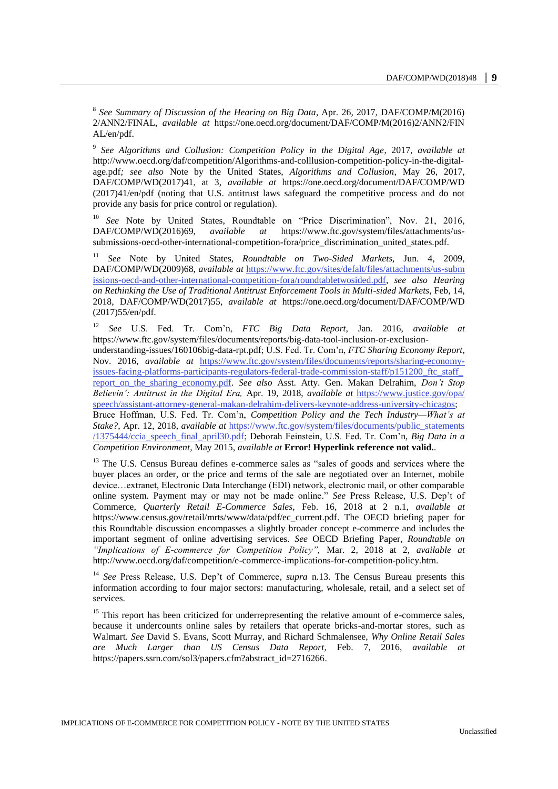8 *See Summary of Discussion of the Hearing on Big Data*, Apr. 26, 2017, DAF/COMP/M(2016) 2/ANN2/FINAL, *available at* https://one.oecd.org/document/DAF/COMP/M(2016)2/ANN2/FIN AL/en/pdf.

9 *See Algorithms and Collusion: Competition Policy in the Digital Age*, 2017, *available at*  http://www.oecd.org/daf/competition/Algorithms-and-colllusion-competition-policy-in-the-digitalage.pdf*; see also* Note by the United States, *Algorithms and Collusion*, May 26, 2017, DAF/COMP/WD(2017)41, at 3, *available at* https://one.oecd.org/document/DAF/COMP/WD (2017)41/en/pdf (noting that U.S. antitrust laws safeguard the competitive process and do not provide any basis for price control or regulation).

<sup>10</sup> *See* Note by United States, Roundtable on "Price Discrimination", Nov. 21, 2016, DAF/COMP/WD(2016)69, *available at* https://www.ftc.gov/system/files/attachments/ussubmissions-oecd-other-international-competition-fora/price\_discrimination\_united\_states.pdf.

<sup>11</sup> *See* Note by United States, *Roundtable on Two-Sided Markets,* Jun. 4, 2009, DAF/COMP/WD(2009)68, *available at* [https://www.ftc.gov/sites/defalt/files/attachments/us-subm](https://www.ftc.gov/sites/defalt/files/attachments/us-subm%20issions-oecd-and-other-international-competition-fora/roundtabletwosided.pdf)  [issions-oecd-and-other-international-competition-fora/roundtabletwosided.pdf,](https://www.ftc.gov/sites/defalt/files/attachments/us-subm%20issions-oecd-and-other-international-competition-fora/roundtabletwosided.pdf) *see also Hearing on Rethinking the Use of Traditional Antitrust Enforcement Tools in Multi-sided Markets*, Feb, 14, 2018, DAF/COMP/WD(2017)55, *available at* https://one.oecd.org/document/DAF/COMP/WD (2017)55/en/pdf.

<sup>12</sup> *See* U.S. Fed. Tr. Com'n, *FTC Big Data Report*, Jan. 2016, *available at*  https://www.ftc.gov/system/files/documents/reports/big-data-tool-inclusion-or-exclusionunderstanding-issues/160106big-data-rpt.pdf; U.S. Fed. Tr. Com'n, *FTC Sharing Economy Report*, Nov. 2016, *available at* [https://www.ftc.gov/system/files/documents/reports/sharing-economy](https://www.ftc.gov/system/files/documents/reports/sharing-economy-issues-facing-platforms-participants-regulators-federal-trade-commission-staff/p151200_ftc_staff_%20report_on_the_sharing_economy.pdf)[issues-facing-platforms-participants-regulators-federal-trade-commission-staff/p151200\\_ftc\\_staff\\_](https://www.ftc.gov/system/files/documents/reports/sharing-economy-issues-facing-platforms-participants-regulators-federal-trade-commission-staff/p151200_ftc_staff_%20report_on_the_sharing_economy.pdf)  [report\\_on\\_the\\_sharing\\_economy.pdf.](https://www.ftc.gov/system/files/documents/reports/sharing-economy-issues-facing-platforms-participants-regulators-federal-trade-commission-staff/p151200_ftc_staff_%20report_on_the_sharing_economy.pdf) *See also* Asst. Atty. Gen. Makan Delrahim, *Don't Stop Believin': Antitrust in the Digital Era,* Apr. 19, 2018, *available at* [https://www.justice.gov/opa/](https://www.justice.gov/opa/%20speech/assistant-attorney-general-makan-delrahim-delivers-keynote-address-university-chicagos)  [speech/assistant-attorney-general-makan-delrahim-delivers-keynote-address-university-chicagos;](https://www.justice.gov/opa/%20speech/assistant-attorney-general-makan-delrahim-delivers-keynote-address-university-chicagos) Bruce Hoffman, U.S. Fed. Tr. Com'n, *Competition Policy and the Tech Industry—What's at Stake?*, Apr. 12, 2018, *available at* [https://www.ftc.gov/system/files/documents/public\\_statements](https://www.ftc.gov/system/files/documents/public_statements%20/1375444/ccia_speech_final_april30.pdf)  [/1375444/ccia\\_speech\\_final\\_april30.pdf;](https://www.ftc.gov/system/files/documents/public_statements%20/1375444/ccia_speech_final_april30.pdf) Deborah Feinstein, U.S. Fed. Tr. Com'n, *Big Data in a Competition Environment*, May 2015, *available at* **Error! Hyperlink reference not valid.***.*

<sup>13</sup> The U.S. Census Bureau defines e-commerce sales as "sales of goods and services where the buyer places an order, or the price and terms of the sale are negotiated over an Internet, mobile device…extranet, Electronic Data Interchange (EDI) network, electronic mail, or other comparable online system. Payment may or may not be made online." *See* Press Release, U.S. Dep't of Commerce, *Quarterly Retail E-Commerce Sales*, Feb. 16, 2018 at 2 n.1, *available at*  https://www.census.gov/retail/mrts/www/data/pdf/ec\_current.pdf. The OECD briefing paper for this Roundtable discussion encompasses a slightly broader concept e-commerce and includes the important segment of online advertising services. *See* OECD Briefing Paper*, Roundtable on "Implications of E-commerce for Competition Policy",* Mar. 2, 2018 at 2, *available at*  http://www.oecd.org/daf/competition/e-commerce-implications-for-competition-policy.htm.

<sup>14</sup> See Press Release, U.S. Dep't of Commerce, *supra* n.13. The Census Bureau presents this information according to four major sectors: manufacturing, wholesale, retail, and a select set of services.

<sup>15</sup> This report has been criticized for underrepresenting the relative amount of e-commerce sales, because it undercounts online sales by retailers that operate bricks-and-mortar stores, such as Walmart. *See* David S. Evans, Scott Murray, and Richard Schmalensee, *Why Online Retail Sales are Much Larger than US Census Data Report*, Feb. 7, 2016, *available at*  https://papers.ssrn.com/sol3/papers.cfm?abstract\_id=2716266.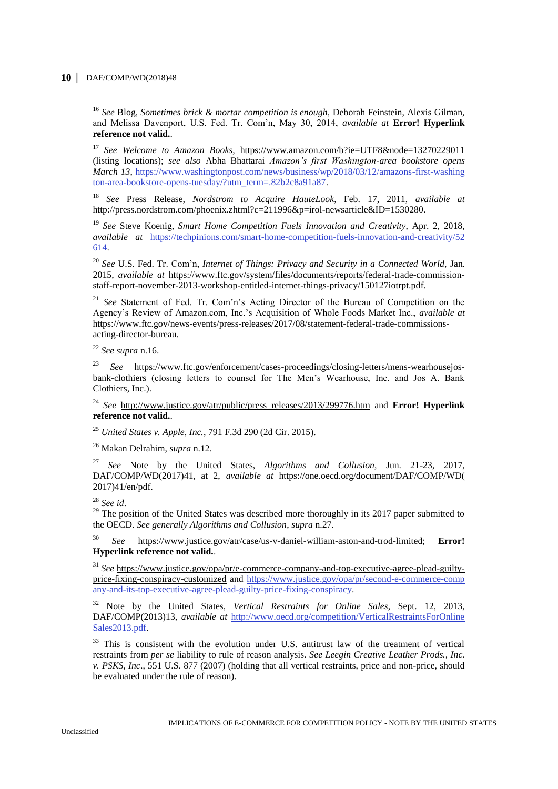<sup>16</sup> *See* Blog, *Sometimes brick & mortar competition is enough,* Deborah Feinstein, Alexis Gilman, and Melissa Davenport, U.S. Fed. Tr. Com'n, May 30, 2014, *available at* **Error! Hyperlink reference not valid.**.

<sup>17</sup> See Welcome to Amazon Books, https://www.amazon.com/b?ie=UTF8&node=13270229011 (listing locations); *see also* Abha Bhattarai *Amazon's first Washington-area bookstore opens March 13*, [https://www.washingtonpost.com/news/business/wp/2018/03/12/amazons-first-washing](https://www.washingtonpost.com/news/business/wp/2018/03/12/amazons-first-washing%20ton-area-bookstore-opens-tuesday/?utm_term=.82b2c8a91a87)  [ton-area-bookstore-opens-tuesday/?utm\\_term=.82b2c8a91a87.](https://www.washingtonpost.com/news/business/wp/2018/03/12/amazons-first-washing%20ton-area-bookstore-opens-tuesday/?utm_term=.82b2c8a91a87)

<sup>18</sup> *See* Press Release, *Nordstrom to Acquire HauteLook*, Feb. 17, 2011, *available at*  http://press.nordstrom.com/phoenix.zhtml?c=211996&p=irol-newsarticle&ID=1530280.

<sup>19</sup> *See* Steve Koenig, *Smart Home Competition Fuels Innovation and Creativity*, Apr. 2, 2018, *available at* [https://techpinions.com/smart-home-competition-fuels-innovation-and-creativity/52](https://techpinions.com/smart-home-competition-fuels-innovation-and-creativity/52%20614)  [614.](https://techpinions.com/smart-home-competition-fuels-innovation-and-creativity/52%20614)

<sup>20</sup> *See* U.S. Fed. Tr. Com'n, *Internet of Things: Privacy and Security in a Connected World,* Jan. 2015, *available at* https://www.ftc.gov/system/files/documents/reports/federal-trade-commissionstaff-report-november-2013-workshop-entitled-internet-things-privacy/150127iotrpt.pdf.

<sup>21</sup> *See* Statement of Fed. Tr. Com'n's Acting Director of the Bureau of Competition on the Agency's Review of Amazon.com, Inc.'s Acquisition of Whole Foods Market Inc., *available at* https://www.ftc.gov/news-events/press-releases/2017/08/statement-federal-trade-commissionsacting-director-bureau.

<sup>22</sup> *See supra* n.16.

<sup>23</sup> *See* https://www.ftc.gov/enforcement/cases-proceedings/closing-letters/mens-wearhousejosbank-clothiers (closing letters to counsel for The Men's Wearhouse, Inc. and Jos A. Bank Clothiers, Inc.).

<sup>24</sup> *See* [http://www.justice.gov/atr/public/press\\_releases/2013/299776.htm](http://www.justice.gov/atr/public/press_releases/2013/299776.htm) and **Error! Hyperlink reference not valid.**.

<sup>25</sup> *United States v. Apple, Inc.*, 791 F.3d 290 (2d Cir. 2015).

<sup>26</sup> Makan Delrahim, *supra* n.12.

<sup>27</sup> *See* Note by the United States, *Algorithms and Collusion,* Jun. 21-23, 2017, DAF/COMP/WD(2017)41, at 2, *available at* https://one.oecd.org/document/DAF/COMP/WD( 2017)41/en/pdf.

<sup>28</sup> *See id*.

<sup>29</sup> The position of the United States was described more thoroughly in its 2017 paper submitted to the OECD. *See generally Algorithms and Collusion*, *supra* n.27.

<sup>30</sup> *See* https://www.justice.gov/atr/case/us-v-daniel-william-aston-and-trod-limited; **Error! Hyperlink reference not valid.**.

<sup>31</sup> *See* [https://www.justice.gov/opa/pr/e-commerce-company-and-top-executive-agree-plead-guilty](https://www.justice.gov/opa/pr/e-commerce-company-and-top-executive-agree-plead-guilty-price-fixing-conspiracy-customized)[price-fixing-conspiracy-customized](https://www.justice.gov/opa/pr/e-commerce-company-and-top-executive-agree-plead-guilty-price-fixing-conspiracy-customized) and [https://www.justice.gov/opa/pr/second-e-commerce-comp](https://www.justice.gov/opa/pr/second-e-commerce-comp%20any-and-its-top-executive-agree-plead-guilty-price-fixing-conspiracy)  [any-and-its-top-executive-agree-plead-guilty-price-fixing-conspiracy.](https://www.justice.gov/opa/pr/second-e-commerce-comp%20any-and-its-top-executive-agree-plead-guilty-price-fixing-conspiracy)

<sup>32</sup> Note by the United States, *Vertical Restraints for Online Sales*, Sept. 12, 2013, DAF/COMP(2013)13, *available at* [http://www.oecd.org/competition/VerticalRestraintsForOnline](http://www.oecd.org/competition/VerticalRestraintsForOnline%20Sales2013.pdf)  [Sales2013.pdf.](http://www.oecd.org/competition/VerticalRestraintsForOnline%20Sales2013.pdf)

<sup>33</sup> This is consistent with the evolution under U.S. antitrust law of the treatment of vertical restraints from *per se* liability to rule of reason analysis. *See Leegin Creative Leather Prods., Inc. v. PSKS, Inc*., 551 U.S. 877 (2007) (holding that all vertical restraints, price and non-price, should be evaluated under the rule of reason).